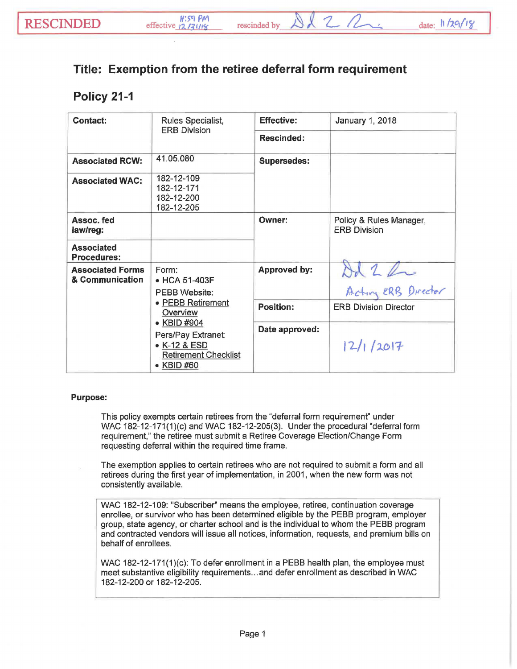$2Q$ 

## **Exemption from the retiree deferral form requirement**

## **Policy 21-1**

| <b>Contact:</b>                            | Rules Specialist,<br><b>ERB Division</b>                                                                                                                                          | <b>Effective:</b>   | January 1, 2018                                |
|--------------------------------------------|-----------------------------------------------------------------------------------------------------------------------------------------------------------------------------------|---------------------|------------------------------------------------|
|                                            |                                                                                                                                                                                   | <b>Rescinded:</b>   |                                                |
| <b>Associated RCW:</b>                     | 41.05.080                                                                                                                                                                         | <b>Supersedes:</b>  |                                                |
| <b>Associated WAC:</b>                     | 182-12-109<br>182-12-171<br>182-12-200<br>182-12-205                                                                                                                              |                     |                                                |
| Assoc. fed<br>law/reg:                     |                                                                                                                                                                                   | Owner:              | Policy & Rules Manager,<br><b>ERB Division</b> |
| <b>Associated</b><br><b>Procedures:</b>    |                                                                                                                                                                                   |                     |                                                |
| <b>Associated Forms</b><br>& Communication | Form:<br>• HCA 51-403F<br><b>PEBB Website:</b><br>• PEBB Retirement<br>Overview<br>• KBID #904<br>Pers/Pay Extranet:<br>• K-12 & ESD<br><b>Retirement Checklist</b><br>• KBID #60 | <b>Approved by:</b> | Od 2 hr<br>Actin ERB Director                  |
|                                            |                                                                                                                                                                                   | <b>Position:</b>    | <b>ERB Division Director</b>                   |
|                                            |                                                                                                                                                                                   | Date approved:      | 2/1/2017                                       |

## Purpose:

This policy exempts certain retirees from the "deferral form requirement" under WAC 182-12-171(1)(c) and WAC 182-12-205(3). Under the procedural "deferral form requirement," the retiree must submit a Retiree Coverage Election/Change Form requesting deferral within the required time frame.

The exemption applies to certain retirees who are not required to submit a form and all retirees during the first year of implementation, in 2001, when the new form was not consistently available.

WAC 182-12-109: "Subscriber" means the employee, retiree, continuation coverage enrollee, or survivor who has been determined eligible by the PEBB program, employer group, state agency, or charter school and is the individual to whom the PEBB program and contracted vendors will issue all notices, information, requests, and premium bills on behalf of enrollees.

WAC 182-12-171(1)(c): To defer enrollment in a PEBB health plan, the employee must meet substantive eligibility requirements ... and defer enrollment as described in WAC 182-12-200 or 182-12-205.